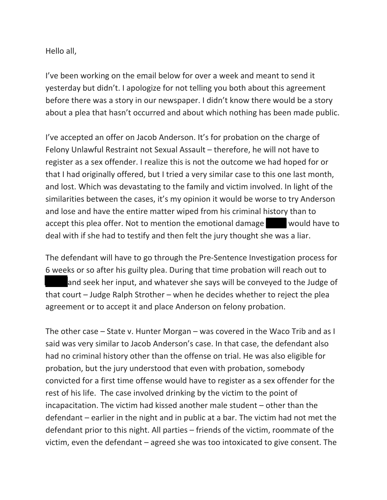Hello all,

I've been working on the email below for over a week and meant to send it yesterday but didn't. I apologize for not telling you both about this agreement before there was a story in our newspaper. I didn't know there would be a story about a plea that hasn't occurred and about which nothing has been made public.

I've accepted an offer on Jacob Anderson. It's for probation on the charge of Felony Unlawful Restraint not Sexual Assault – therefore, he will not have to register as a sex offender. I realize this is not the outcome we had hoped for or that I had originally offered, but I tried a very similar case to this one last month, and lost. Which was devastating to the family and victim involved. In light of the similarities between the cases, it's my opinion it would be worse to try Anderson and lose and have the entire matter wiped from his criminal history than to accept this plea offer. Not to mention the emotional damage  $\Box$  would have to deal with if she had to testify and then felt the jury thought she was a liar.

The defendant will have to go through the Pre-Sentence Investigation process for 6 weeks or so after his guilty plea. During that time probation will reach out to and seek her input, and whatever she says will be conveyed to the Judge of that court – Judge Ralph Strother – when he decides whether to reject the plea agreement or to accept it and place Anderson on felony probation.

The other case – State v. Hunter Morgan – was covered in the Waco Trib and as I said was very similar to Jacob Anderson's case. In that case, the defendant also had no criminal history other than the offense on trial. He was also eligible for probation, but the jury understood that even with probation, somebody convicted for a first time offense would have to register as a sex offender for the rest of his life. The case involved drinking by the victim to the point of incapacitation. The victim had kissed another male student – other than the defendant – earlier in the night and in public at a bar. The victim had not met the defendant prior to this night. All parties – friends of the victim, roommate of the victim, even the defendant – agreed she was too intoxicated to give consent. The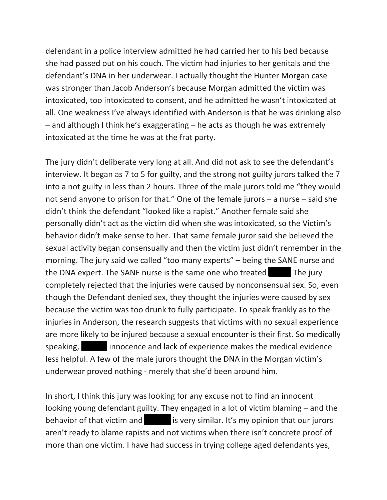defendant in a police interview admitted he had carried her to his bed because she had passed out on his couch. The victim had injuries to her genitals and the defendant's DNA in her underwear. I actually thought the Hunter Morgan case was stronger than Jacob Anderson's because Morgan admitted the victim was intoxicated, too intoxicated to consent, and he admitted he wasn't intoxicated at all. One weakness I've always identified with Anderson is that he was drinking also – and although I think he's exaggerating – he acts as though he was extremely intoxicated at the time he was at the frat party.

The jury didn't deliberate very long at all. And did not ask to see the defendant's interview. It began as 7 to 5 for guilty, and the strong not guilty jurors talked the 7 into a not guilty in less than 2 hours. Three of the male jurors told me "they would not send anyone to prison for that." One of the female jurors – a nurse – said she didn't think the defendant "looked like a rapist." Another female said she personally didn't act as the victim did when she was intoxicated, so the Victim's behavior didn't make sense to her. That same female juror said she believed the sexual activity began consensually and then the victim just didn't remember in the morning. The jury said we called "too many experts" – being the SANE nurse and the DNA expert. The SANE nurse is the same one who treated The jury completely rejected that the injuries were caused by nonconsensual sex. So, even though the Defendant denied sex, they thought the injuries were caused by sex because the victim was too drunk to fully participate. To speak frankly as to the injuries in Anderson, the research suggests that victims with no sexual experience are more likely to be injured because a sexual encounter is their first. So medically speaking,  $\Box$  innocence and lack of experience makes the medical evidence less helpful. A few of the male jurors thought the DNA in the Morgan victim's underwear proved nothing - merely that she'd been around him.

In short, I think this jury was looking for any excuse not to find an innocent looking young defendant guilty. They engaged in a lot of victim blaming – and the behavior of that victim and **Oliviate 1 is very similar.** It's my opinion that our jurors aren't ready to blame rapists and not victims when there isn't concrete proof of more than one victim. I have had success in trying college aged defendants yes,